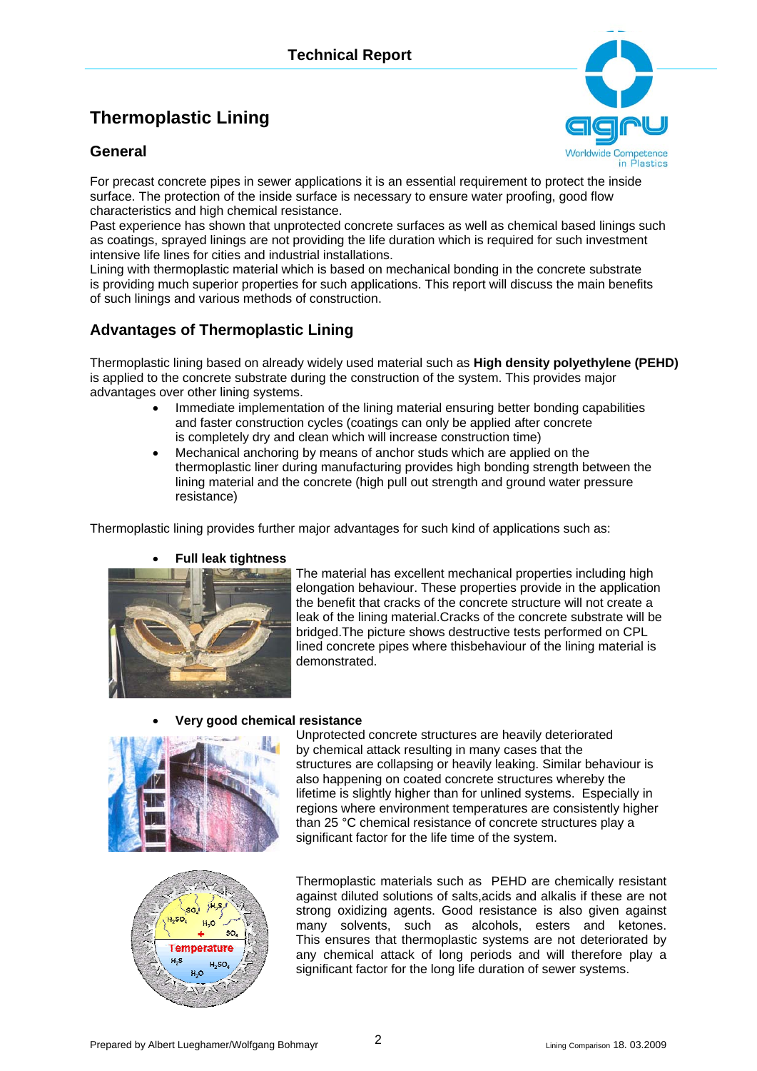# **Thermoplastic Lining**

#### **General**



For precast concrete pipes in sewer applications it is an essential requirement to protect the inside surface. The protection of the inside surface is necessary to ensure water proofing, good flow characteristics and high chemical resistance.

Past experience has shown that unprotected concrete surfaces as well as chemical based linings such as coatings, sprayed linings are not providing the life duration which is required for such investment intensive life lines for cities and industrial installations.

Lining with thermoplastic material which is based on mechanical bonding in the concrete substrate is providing much superior properties for such applications. This report will discuss the main benefits of such linings and various methods of construction.

## **Advantages of Thermoplastic Lining**

Thermoplastic lining based on already widely used material such as **High density polyethylene (PEHD)** is applied to the concrete substrate during the construction of the system. This provides major advantages over other lining systems.

- Immediate implementation of the lining material ensuring better bonding capabilities and faster construction cycles (coatings can only be applied after concrete is completely dry and clean which will increase construction time)
- Mechanical anchoring by means of anchor studs which are applied on the thermoplastic liner during manufacturing provides high bonding strength between the lining material and the concrete (high pull out strength and ground water pressure resistance)

Thermoplastic lining provides further major advantages for such kind of applications such as:

#### • **Full leak tightness**



The material has excellent mechanical properties including high elongation behaviour. These properties provide in the application the benefit that cracks of the concrete structure will not create a leak of the lining material.Cracks of the concrete substrate will be bridged.The picture shows destructive tests performed on CPL lined concrete pipes where thisbehaviour of the lining material is demonstrated.



• **Very good chemical resistance** 

Unprotected concrete structures are heavily deteriorated by chemical attack resulting in many cases that the structures are collapsing or heavily leaking. Similar behaviour is also happening on coated concrete structures whereby the lifetime is slightly higher than for unlined systems. Especially in regions where environment temperatures are consistently higher than 25 °C chemical resistance of concrete structures play a significant factor for the life time of the system.



Thermoplastic materials such as PEHD are chemically resistant against diluted solutions of salts,acids and alkalis if these are not strong oxidizing agents. Good resistance is also given against many solvents, such as alcohols, esters and ketones. This ensures that thermoplastic systems are not deteriorated by any chemical attack of long periods and will therefore play a significant factor for the long life duration of sewer systems.